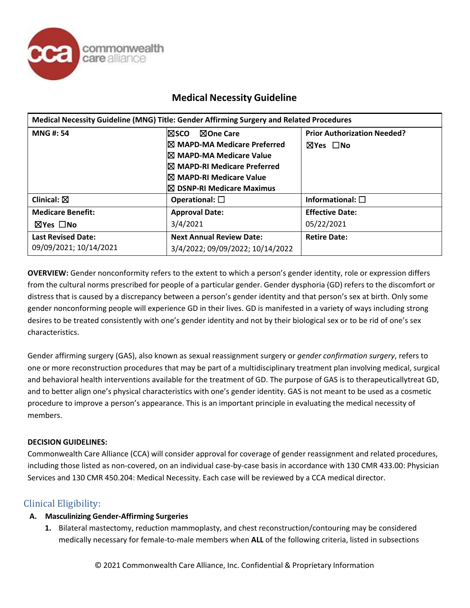

| Medical Necessity Guideline (MNG) Title: Gender Affirming Surgery and Related Procedures |                                      |                                    |
|------------------------------------------------------------------------------------------|--------------------------------------|------------------------------------|
| <b>MNG#: 54</b>                                                                          | <b>NOne Care</b><br>l⊠sco.           | <b>Prior Authorization Needed?</b> |
|                                                                                          | <b>IX MAPD-MA Medicare Preferred</b> | <b>⊠Yes</b> ∩No                    |
|                                                                                          | I⊠ MAPD-MA Medicare Value            |                                    |
|                                                                                          | <b>IX MAPD-RI Medicare Preferred</b> |                                    |
|                                                                                          | I⊠ MAPD-RI Medicare Value            |                                    |
|                                                                                          | $\boxtimes$ DSNP-RI Medicare Maximus |                                    |
| Clinical: $\boxtimes$                                                                    | Operational: $\square$               | Informational: $\square$           |
| <b>Medicare Benefit:</b>                                                                 | <b>Approval Date:</b>                | <b>Effective Date:</b>             |
| $\boxtimes$ Yes $\Box$ No                                                                | 3/4/2021                             | 05/22/2021                         |
| <b>Last Revised Date:</b>                                                                | <b>Next Annual Review Date:</b>      | <b>Retire Date:</b>                |
| 09/09/2021; 10/14/2021                                                                   | 3/4/2022; 09/09/2022; 10/14/2022     |                                    |

**OVERVIEW:** Gender nonconformity refers to the extent to which a person's gender identity, role or expression differs from the cultural norms prescribed for people of a particular gender. Gender dysphoria (GD) refers to the discomfort or distress that is caused by a discrepancy between a person's gender identity and that person's sex at birth. Only some gender nonconforming people will experience GD in their lives. GD is manifested in a variety of ways including strong desires to be treated consistently with one's gender identity and not by their biological sex or to be rid of one's sex characteristics.

Gender affirming surgery (GAS), also known as sexual reassignment surgery or *gender confirmation surgery*, refers to one or more reconstruction procedures that may be part of a multidisciplinary treatment plan involving medical, surgical and behavioral health interventions available for the treatment of GD. The purpose of GAS is to therapeuticallytreat GD, and to better align one's physical characteristics with one's gender identity. GAS is not meant to be used as a cosmetic procedure to improve a person's appearance. This is an important principle in evaluating the medical necessity of members.

### **DECISION GUIDELINES:**

Commonwealth Care Alliance (CCA) will consider approval for coverage of gender reassignment and related procedures, including those listed as non-covered, on an individual case-by-case basis in accordance with 130 CMR 433.00: Physician Services and 130 CMR 450.204: Medical Necessity. Each case will be reviewed by a CCA medical director.

### Clinical Eligibility:

### **A. Masculinizing Gender-Affirming Surgeries**

**1.** Bilateral mastectomy, reduction mammoplasty, and chest reconstruction/contouring may be considered medically necessary for female-to-male members when **ALL** of the following criteria, listed in subsections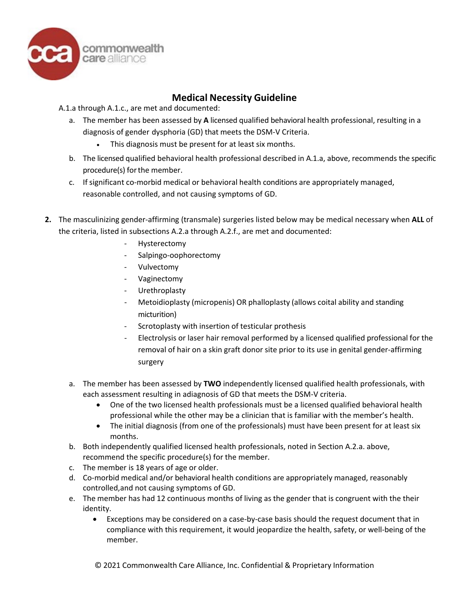

A.1.a through A.1.c., are met and documented:

- a. The member has been assessed by **A** licensed qualified behavioral health professional, resulting in a diagnosis of gender dysphoria (GD) that meets the DSM-V Criteria.
	- This diagnosis must be present for at least six months.
- b. The licensed qualified behavioral health professional described in A.1.a, above, recommends the specific procedure(s) for the member.
- c. If significant co-morbid medical or behavioral health conditions are appropriately managed, reasonable controlled, and not causing symptoms of GD.
- **2.** The masculinizing gender-affirming (transmale) surgeries listed below may be medical necessary when **ALL** of the criteria, listed in subsections A.2.a through A.2.f., are met and documented:
	- **Hysterectomy**
	- Salpingo-oophorectomy
	- Vulvectomy
	- Vaginectomy
	- **Urethroplasty**
	- Metoidioplasty (micropenis) OR phalloplasty (allows coital ability and standing micturition)
	- Scrotoplasty with insertion of testicular prothesis
	- Electrolysis or laser hair removal performed by a licensed qualified professional for the removal of hair on a skin graft donor site prior to its use in genital gender-affirming surgery
	- a. The member has been assessed by **TWO** independently licensed qualified health professionals, with each assessment resulting in adiagnosis of GD that meets the DSM-V criteria.
		- One of the two licensed health professionals must be a licensed qualified behavioral health professional while the other may be a clinician that is familiar with the member's health.
		- The initial diagnosis (from one of the professionals) must have been present for at least six months.
	- b. Both independently qualified licensed health professionals, noted in Section A.2.a. above, recommend the specific procedure(s) for the member.
	- c. The member is 18 years of age or older.
	- d. Co-morbid medical and/or behavioral health conditions are appropriately managed, reasonably controlled,and not causing symptoms of GD.
	- e. The member has had 12 continuous months of living as the gender that is congruent with the their identity.
		- Exceptions may be considered on a case-by-case basis should the request document that in compliance with this requirement, it would jeopardize the health, safety, or well-being of the member.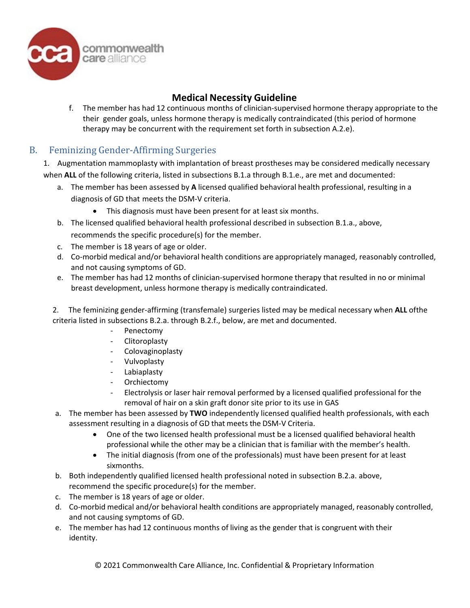

f. The member has had 12 continuous months of clinician-supervised hormone therapy appropriate to the their gender goals, unless hormone therapy is medically contraindicated (this period of hormone therapy may be concurrent with the requirement set forth in subsection A.2.e).

# B. Feminizing Gender-Affirming Surgeries

1. Augmentation mammoplasty with implantation of breast prostheses may be considered medically necessary when **ALL** of the following criteria, listed in subsections B.1.a through B.1.e., are met and documented:

- a. The member has been assessed by **A** licensed qualified behavioral health professional, resulting in a diagnosis of GD that meets the DSM-V criteria.
	- This diagnosis must have been present for at least six months.
- b. The licensed qualified behavioral health professional described in subsection B.1.a., above, recommends the specific procedure(s) for the member.
- c. The member is 18 years of age or older.
- d. Co-morbid medical and/or behavioral health conditions are appropriately managed, reasonably controlled, and not causing symptoms of GD.
- e. The member has had 12 months of clinician-supervised hormone therapy that resulted in no or minimal breast development, unless hormone therapy is medically contraindicated.

2. The feminizing gender-affirming (transfemale) surgeries listed may be medical necessary when **ALL** ofthe criteria listed in subsections B.2.a. through B.2.f., below, are met and documented.

- Penectomy
- Clitoroplasty
- Colovaginoplasty
- Vulvoplasty
- Labiaplasty
- Orchiectomy
- Electrolysis or laser hair removal performed by a licensed qualified professional for the removal of hair on a skin graft donor site prior to its use in GAS
- a. The member has been assessed by **TWO** independently licensed qualified health professionals, with each assessment resulting in a diagnosis of GD that meets the DSM-V Criteria.
	- One of the two licensed health professional must be a licensed qualified behavioral health professional while the other may be a clinician that is familiar with the member's health.
	- The initial diagnosis (from one of the professionals) must have been present for at least sixmonths.
- b. Both independently qualified licensed health professional noted in subsection B.2.a. above, recommend the specific procedure(s) for the member.
- c. The member is 18 years of age or older.
- d. Co-morbid medical and/or behavioral health conditions are appropriately managed, reasonably controlled, and not causing symptoms of GD.
- e. The member has had 12 continuous months of living as the gender that is congruent with their identity.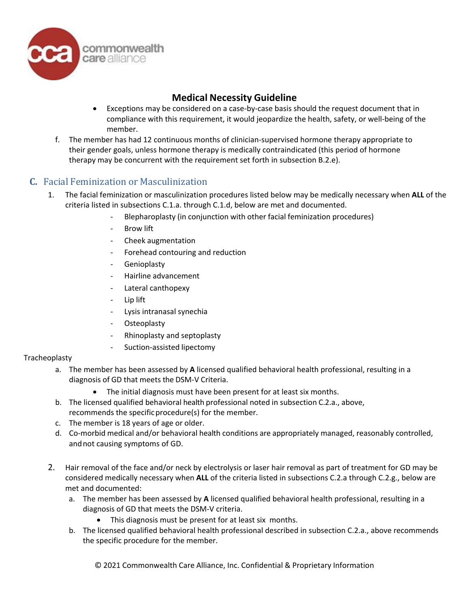

- Exceptions may be considered on a case-by-case basis should the request document that in compliance with this requirement, it would jeopardize the health, safety, or well-being of the member.
- f. The member has had 12 continuous months of clinician-supervised hormone therapy appropriate to their gender goals, unless hormone therapy is medically contraindicated (this period of hormone therapy may be concurrent with the requirement set forth in subsection B.2.e).

### **C.** Facial Feminization or Masculinization

- 1. The facial feminization or masculinization procedures listed below may be medically necessary when **ALL** of the criteria listed in subsections C.1.a. through C.1.d, below are met and documented.
	- Blepharoplasty (in conjunction with other facial feminization procedures)
	- Brow lift
	- Cheek augmentation
	- Forehead contouring and reduction
	- Genioplasty
	- Hairline advancement
	- Lateral canthopexy
	- Lip lift
	- Lysis intranasal synechia
	- **Osteoplasty**
	- Rhinoplasty and septoplasty
	- Suction-assisted lipectomy

### Tracheoplasty

- a. The member has been assessed by **A** licensed qualified behavioral health professional, resulting in a diagnosis of GD that meets the DSM-V Criteria.
	- The initial diagnosis must have been present for at least six months.
- b. The licensed qualified behavioral health professional noted in subsection C.2.a., above, recommends the specific procedure(s) for the member.
- c. The member is 18 years of age or older.
- d. Co-morbid medical and/or behavioral health conditions are appropriately managed, reasonably controlled, and not causing symptoms of GD.
- 2. Hair removal of the face and/or neck by electrolysis or laser hair removal as part of treatment for GD may be considered medically necessary when **ALL** of the criteria listed in subsections C.2.a through C.2.g., below are met and documented:
	- a. The member has been assessed by **A** licensed qualified behavioral health professional, resulting in a diagnosis of GD that meets the DSM-V criteria.
		- This diagnosis must be present for at least six months.
	- b. The licensed qualified behavioral health professional described in subsection C.2.a., above recommends the specific procedure for the member.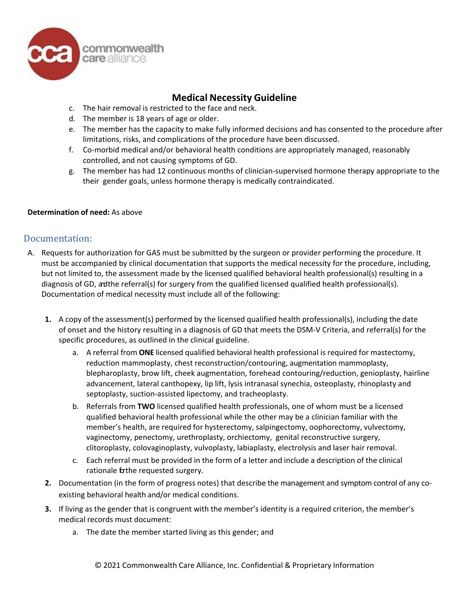

- c. The hair removal is restricted to the face and neck.
- d. The member is 18 years of age or older.
- e. The member has the capacity to make fully informed decisions and has consented to the procedure after limitations, risks, and complications of the procedure have been discussed.
- f. Co-morbid medical and/or behavioral health conditions are appropriately managed, reasonably controlled, and not causing symptoms of GD.
- g. The member has had 12 continuous months of clinician-supervised hormone therapy appropriate to the their gender goals, unless hormone therapy is medically contraindicated.

#### **Determination of need:** As above

### Documentation:

- A. Requests for authorization for GAS must be submitted by the surgeon or provider performing the procedure. It must be accompanied by clinical documentation that supports the medical necessity for the procedure, including, but not limited to, the assessment made by the licensed qualified behavioral health professional(s) resulting in a diagnosis of GD, andthe referral(s) for surgery from the qualified licensed qualified health professional(s). Documentation of medical necessity must include all of the following:
	- **1.** A copy of the assessment(s) performed by the licensed qualified health professional(s), including the date of onset and the history resulting in a diagnosis of GD that meets the DSM-V Criteria, and referral(s) for the specific procedures, as outlined in the clinical guideline.
		- a. A referral from **ONE** licensed qualified behavioral health professional is required for mastectomy, reduction mammoplasty, chest reconstruction/contouring, augmentation mammoplasty, blepharoplasty, brow lift, cheek augmentation, forehead contouring/reduction, genioplasty, hairline advancement, lateral canthopexy, lip lift, lysis intranasal synechia, osteoplasty, rhinoplasty and septoplasty, suction-assisted lipectomy, and tracheoplasty.
		- b. Referrals from **TWO** licensed qualified health professionals, one of whom must be a licensed qualified behavioral health professional while the other may be a clinician familiar with the member's health, are required for hysterectomy, salpingectomy, oophorectomy, vulvectomy, vaginectomy, penectomy, urethroplasty, orchiectomy, genital reconstructive surgery, clitoroplasty, colovaginoplasty, vulvoplasty, labiaplasty, electrolysis and laser hair removal.
		- c. Each referral must be provided in the form of a letter and include a description of the clinical rationale forthe requested surgery.
	- **2.** Documentation (in the form of progress notes) that describe the management and symptom control of any coexisting behavioral health and/or medical conditions.
	- **3.** If living as the gender that is congruent with the member's identity is a required criterion, the member's medical records must document:
		- a. The date the member started living as this gender; and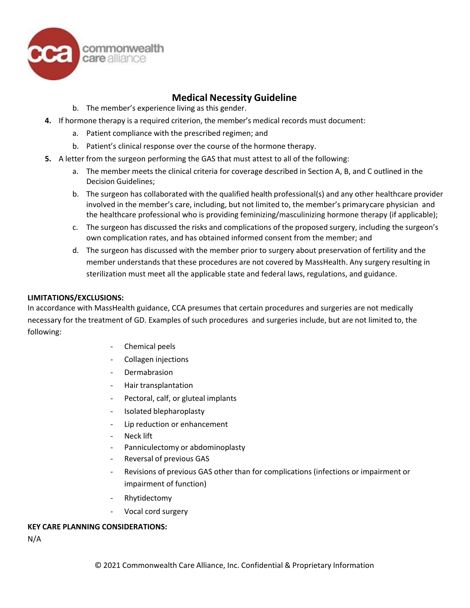

- b. The member's experience living as this gender.
- **4.** If hormone therapy is a required criterion, the member's medical records must document:
	- a. Patient compliance with the prescribed regimen; and
	- b. Patient's clinical response over the course of the hormone therapy.
- **5.** A letter from the surgeon performing the GAS that must attest to all of the following:
	- a. The member meets the clinical criteria for coverage described in Section A, B, and C outlined in the Decision Guidelines;
	- b. The surgeon has collaborated with the qualified health professional(s) and any other healthcare provider involved in the member's care, including, but not limited to, the member's primary care physician and the healthcare professional who is providing feminizing/masculinizing hormone therapy (if applicable);
	- c. The surgeon has discussed the risks and complications of the proposed surgery, including the surgeon's own complication rates, and has obtained informed consent from the member; and
	- d. The surgeon has discussed with the member prior to surgery about preservation of fertility and the member understands that these procedures are not covered by MassHealth. Any surgery resulting in sterilization must meet all the applicable state and federal laws, regulations, and guidance.

#### **LIMITATIONS/EXCLUSIONS:**

In accordance with MassHealth guidance, CCA presumes that certain procedures and surgeries are not medically necessary for the treatment of GD. Examples of such procedures and surgeries include, but are not limited to, the following:

- Chemical peels
- Collagen injections
- **Dermabrasion**
- Hair transplantation
- Pectoral, calf, or gluteal implants
- Isolated blepharoplasty
- Lip reduction or enhancement
- Neck lift
- Panniculectomy or abdominoplasty
- Reversal of previous GAS
- Revisions of previous GAS other than for complications (infections or impairment or impairment of function)
- Rhytidectomy
- Vocal cord surgery

#### **KEY CARE PLANNING CONSIDERATIONS:**

N/A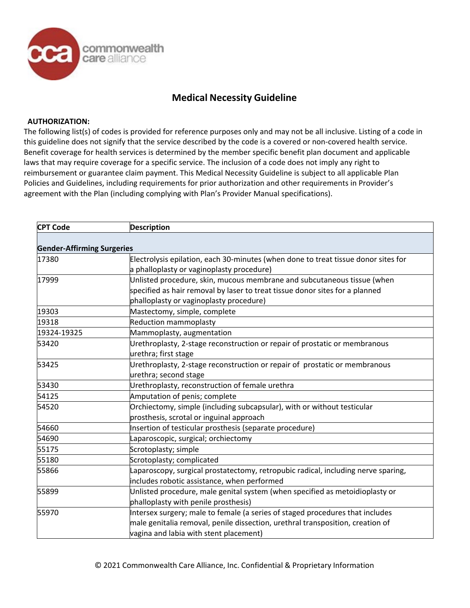

#### **AUTHORIZATION:**

The following list(s) of codes is provided for reference purposes only and may not be all inclusive. Listing of a code in this guideline does not signify that the service described by the code is a covered or non-covered health service. Benefit coverage for health services is determined by the member specific benefit plan document and applicable laws that may require coverage for a specific service. The inclusion of a code does not imply any right to reimbursement or guarantee claim payment. This Medical Necessity Guideline is subject to all applicable Plan Policies and Guidelines, including requirements for prior authorization and other requirements in Provider's agreement with the Plan (including complying with Plan's Provider Manual specifications).

| <b>CPT Code</b>                   | <b>Description</b>                                                                 |  |
|-----------------------------------|------------------------------------------------------------------------------------|--|
|                                   |                                                                                    |  |
| <b>Gender-Affirming Surgeries</b> |                                                                                    |  |
| 17380                             | Electrolysis epilation, each 30-minutes (when done to treat tissue donor sites for |  |
|                                   | a phalloplasty or vaginoplasty procedure)                                          |  |
| 17999                             | Unlisted procedure, skin, mucous membrane and subcutaneous tissue (when            |  |
|                                   | specified as hair removal by laser to treat tissue donor sites for a planned       |  |
|                                   | phalloplasty or vaginoplasty procedure)                                            |  |
| 19303                             | Mastectomy, simple, complete                                                       |  |
| 19318                             | <b>Reduction mammoplasty</b>                                                       |  |
| 19324-19325                       | Mammoplasty, augmentation                                                          |  |
| 53420                             | Urethroplasty, 2-stage reconstruction or repair of prostatic or membranous         |  |
|                                   | urethra; first stage                                                               |  |
| 53425                             | Urethroplasty, 2-stage reconstruction or repair of prostatic or membranous         |  |
|                                   | urethra; second stage                                                              |  |
| 53430                             | Urethroplasty, reconstruction of female urethra                                    |  |
| 54125                             | Amputation of penis; complete                                                      |  |
| 54520                             | Orchiectomy, simple (including subcapsular), with or without testicular            |  |
|                                   | prosthesis, scrotal or inguinal approach                                           |  |
| 54660                             | Insertion of testicular prosthesis (separate procedure)                            |  |
| 54690                             | Laparoscopic, surgical; orchiectomy                                                |  |
| 55175                             | Scrotoplasty; simple                                                               |  |
| 55180                             | Scrotoplasty; complicated                                                          |  |
| 55866                             | Laparoscopy, surgical prostatectomy, retropubic radical, including nerve sparing,  |  |
|                                   | includes robotic assistance, when performed                                        |  |
| 55899                             | Unlisted procedure, male genital system (when specified as metoidioplasty or       |  |
|                                   | phalloplasty with penile prosthesis)                                               |  |
| 55970                             | Intersex surgery; male to female (a series of staged procedures that includes      |  |
|                                   | male genitalia removal, penile dissection, urethral transposition, creation of     |  |
|                                   | vagina and labia with stent placement)                                             |  |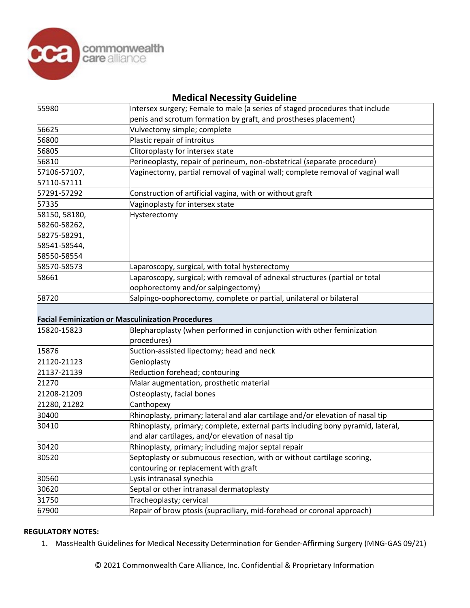

| 55980         | Intersex surgery; Female to male (a series of staged procedures that include    |  |
|---------------|---------------------------------------------------------------------------------|--|
|               | penis and scrotum formation by graft, and prostheses placement)                 |  |
| 56625         | Vulvectomy simple; complete                                                     |  |
| 56800         | Plastic repair of introitus                                                     |  |
| 56805         | Clitoroplasty for intersex state                                                |  |
| 56810         | Perineoplasty, repair of perineum, non-obstetrical (separate procedure)         |  |
| 57106-57107,  | Vaginectomy, partial removal of vaginal wall; complete removal of vaginal wall  |  |
| 57110-57111   |                                                                                 |  |
| 57291-57292   | Construction of artificial vagina, with or without graft                        |  |
| 57335         | Vaginoplasty for intersex state                                                 |  |
| 58150, 58180, | Hysterectomy                                                                    |  |
| 58260-58262,  |                                                                                 |  |
| 58275-58291,  |                                                                                 |  |
| 58541-58544,  |                                                                                 |  |
| 58550-58554   |                                                                                 |  |
| 58570-58573   | Laparoscopy, surgical, with total hysterectomy                                  |  |
| 58661         | Laparoscopy, surgical; with removal of adnexal structures (partial or total     |  |
|               | oophorectomy and/or salpingectomy)                                              |  |
| 58720         | Salpingo-oophorectomy, complete or partial, unilateral or bilateral             |  |
|               |                                                                                 |  |
|               | <b>Facial Feminization or Masculinization Procedures</b>                        |  |
| 15820-15823   | Blepharoplasty (when performed in conjunction with other feminization           |  |
|               | procedures)                                                                     |  |
| 15876         | Suction-assisted lipectomy; head and neck                                       |  |
| 21120-21123   | Genioplasty                                                                     |  |
| 21137-21139   | Reduction forehead; contouring                                                  |  |
| 21270         | Malar augmentation, prosthetic material                                         |  |
| 21208-21209   | Osteoplasty, facial bones                                                       |  |
| 21280, 21282  | Canthopexy                                                                      |  |
| 30400         | Rhinoplasty, primary; lateral and alar cartilage and/or elevation of nasal tip  |  |
| 30410         | Rhinoplasty, primary; complete, external parts including bony pyramid, lateral, |  |
|               | and alar cartilages, and/or elevation of nasal tip                              |  |
| 30420         | Rhinoplasty, primary; including major septal repair                             |  |
| 30520         | Septoplasty or submucous resection, with or without cartilage scoring,          |  |
|               | contouring or replacement with graft                                            |  |
| 30560         | Lysis intranasal synechia                                                       |  |
| 30620         | Septal or other intranasal dermatoplasty                                        |  |
|               |                                                                                 |  |
| 31750         | Tracheoplasty; cervical                                                         |  |
| 67900         | Repair of brow ptosis (supraciliary, mid-forehead or coronal approach)          |  |

#### **REGULATORY NOTES:**

1. MassHealth Guidelines for Medical Necessity Determination for Gender-Affirming Surgery (MNG-GAS 09/21)

© 2021 Commonwealth Care Alliance, Inc. Confidential & Proprietary Information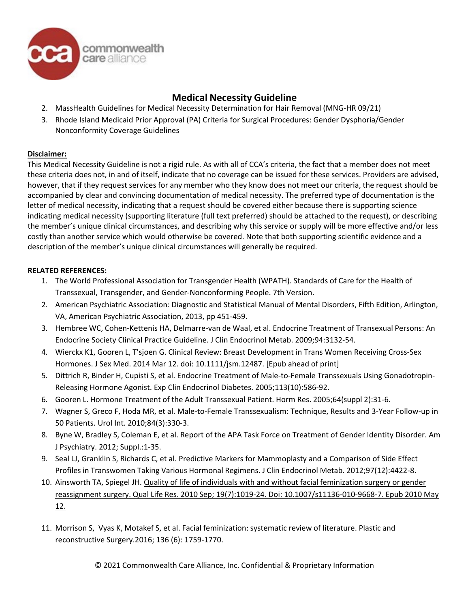

- 2. MassHealth Guidelines for Medical Necessity Determination for Hair Removal (MNG-HR 09/21)
- 3. Rhode Island Medicaid Prior Approval (PA) Criteria for Surgical Procedures: Gender Dysphoria/Gender Nonconformity Coverage Guidelines

### **Disclaimer:**

This Medical Necessity Guideline is not a rigid rule. As with all of CCA's criteria, the fact that a member does not meet these criteria does not, in and of itself, indicate that no coverage can be issued for these services. Providers are advised, however, that if they request services for any member who they know does not meet our criteria, the request should be accompanied by clear and convincing documentation of medical necessity. The preferred type of documentation is the letter of medical necessity, indicating that a request should be covered either because there is supporting science indicating medical necessity (supporting literature (full text preferred) should be attached to the request), or describing the member's unique clinical circumstances, and describing why this service or supply will be more effective and/or less costly than another service which would otherwise be covered. Note that both supporting scientific evidence and a description of the member's unique clinical circumstances will generally be required.

### **RELATED REFERENCES:**

- 1. The World Professional Association for Transgender Health (WPATH). Standards of Care for the Health of Transsexual, Transgender, and Gender-Nonconforming People. 7th Version.
- 2. American Psychiatric Association: Diagnostic and Statistical Manual of Mental Disorders, Fifth Edition, Arlington, VA, American Psychiatric Association, 2013, pp 451-459.
- 3. Hembree WC, Cohen-Kettenis HA, Delmarre-van de Waal, et al. Endocrine Treatment of Transexual Persons: An Endocrine Society Clinical Practice Guideline. J Clin Endocrinol Metab. 2009;94:3132-54.
- 4. Wierckx K1, Gooren L, T'sjoen G. Clinical Review: Breast Development in Trans Women Receiving Cross-Sex Hormones. J Sex Med. 2014 Mar 12. doi: 10.1111/jsm.12487. [Epub ahead of print]
- 5. Dittrich R, Binder H, Cupisti S, et al. Endocrine Treatment of Male-to-Female Transsexuals Using Gonadotropin-Releasing Hormone Agonist. Exp Clin Endocrinol Diabetes. 2005;113(10):586-92.
- 6. Gooren L. Hormone Treatment of the Adult Transsexual Patient. Horm Res. 2005;64(suppl 2):31-6.
- 7. Wagner S, Greco F, Hoda MR, et al. Male-to-Female Transsexualism: Technique, Results and 3-Year Follow-up in 50 Patients. Urol Int. 2010;84(3):330-3.
- 8. Byne W, Bradley S, Coleman E, et al. Report of the APA Task Force on Treatment of Gender Identity Disorder. Am J Psychiatry. 2012; Suppl.:1-35.
- 9. Seal LJ, Granklin S, Richards C, et al. Predictive Markers for Mammoplasty and a Comparison of Side Effect Profiles in Transwomen Taking Various Hormonal Regimens. J Clin Endocrinol Metab. 2012;97(12):4422-8.
- 10. Ainsworth TA, Spiegel JH. Quality of life of individuals with and without facial feminization surgery or gender reassignment surgery. Qual Life Res. 2010 Sep; 19(7):1019-24. Doi: 10.1007/s11136-010-9668-7. Epub 2010 May 12.
- 11. Morrison S, Vyas K, Motakef S, et al. Facial feminization: systematic review of literature. Plastic and reconstructive Surgery.2016; 136 (6): 1759-1770.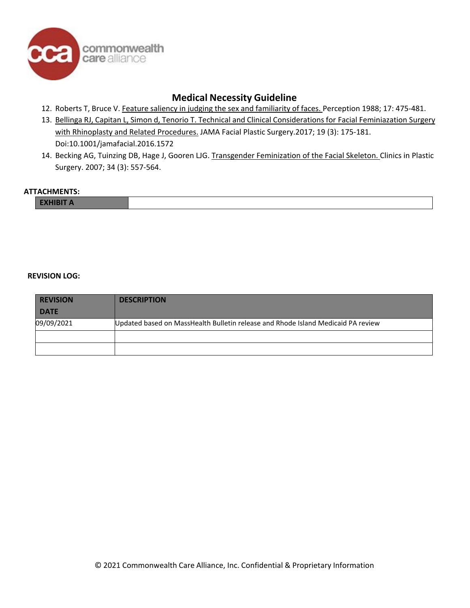

- 12. Roberts T, Bruce V. Feature saliency in judging the sex and familiarity of faces. Perception 1988; 17: 475-481.
- 13. Bellinga RJ, Capitan L, Simon d, Tenorio T. Technical and Clinical Considerations for Facial Feminiazation Surgery with Rhinoplasty and Related Procedures. JAMA Facial Plastic Surgery.2017; 19 (3): 175-181. Doi:10.1001/jamafacial.2016.1572
- 14. Becking AG, Tuinzing DB, Hage J, Gooren LJG. Transgender Feminization of the Facial Skeleton. Clinics in Plastic Surgery. 2007; 34 (3): 557-564.

#### **ATTACHMENTS:**

#### **REVISION LOG:**

| <b>REVISION</b> | <b>DESCRIPTION</b>                                                               |
|-----------------|----------------------------------------------------------------------------------|
| <b>DATE</b>     |                                                                                  |
| 09/09/2021      | Updated based on MassHealth Bulletin release and Rhode Island Medicaid PA review |
|                 |                                                                                  |
|                 |                                                                                  |